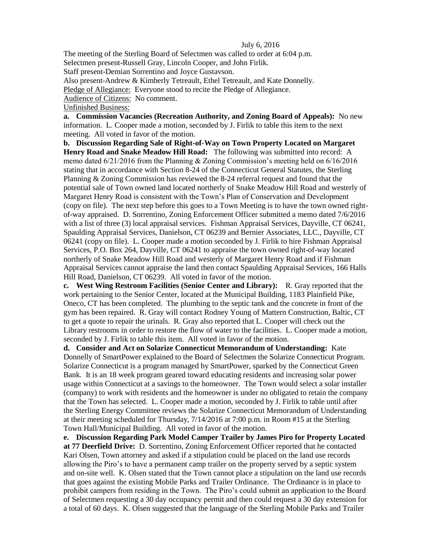## July 6, 2016

The meeting of the Sterling Board of Selectmen was called to order at 6:04 p.m. Selectmen present-Russell Gray, Lincoln Cooper, and John Firlik.

Staff present-Demian Sorrentino and Joyce Gustavson.

Also present-Andrew & Kimberly Tetreault, Ethel Tetreault, and Kate Donnelly.

Pledge of Allegiance: Everyone stood to recite the Pledge of Allegiance.

Audience of Citizens: No comment.

Unfinished Business:

**a. Commission Vacancies (Recreation Authority, and Zoning Board of Appeals):** No new information. L. Cooper made a motion, seconded by J. Firlik to table this item to the next meeting. All voted in favor of the motion.

**b. Discussion Regarding Sale of Right-of-Way on Town Property Located on Margaret Henry Road and Snake Meadow Hill Road:** The following was submitted into record: A memo dated 6/21/2016 from the Planning & Zoning Commission's meeting held on 6/16/2016 stating that in accordance with Section 8-24 of the Connecticut General Statutes, the Sterling Planning & Zoning Commission has reviewed the 8-24 referral request and found that the potential sale of Town owned land located northerly of Snake Meadow Hill Road and westerly of Margaret Henry Road is consistent with the Town's Plan of Conservation and Development (copy on file). The next step before this goes to a Town Meeting is to have the town owned rightof-way appraised. D. Sorrentino, Zoning Enforcement Officer submitted a memo dated 7/6/2016 with a list of three (3) local appraisal services. Fishman Appraisal Services, Dayville, CT 06241, Spaulding Appraisal Services, Danielson, CT 06239 and Bernier Associates, LLC., Dayville, CT 06241 (copy on file). L. Cooper made a motion seconded by J. Firlik to hire Fishman Appraisal Services, P.O. Box 264, Dayville, CT 06241 to appraise the town owned right-of-way located northerly of Snake Meadow Hill Road and westerly of Margaret Henry Road and if Fishman Appraisal Services cannot appraise the land then contact Spaulding Appraisal Services, 166 Halls Hill Road, Danielson, CT 06239. All voted in favor of the motion.

**c. West Wing Restroom Facilities (Senior Center and Library):** R. Gray reported that the work pertaining to the Senior Center, located at the Municipal Building, 1183 Plainfield Pike, Oneco, CT has been completed. The plumbing to the septic tank and the concrete in front of the gym has been repaired. R. Gray will contact Rodney Young of Mattern Construction, Baltic, CT to get a quote to repair the urinals. R. Gray also reported that L. Cooper will check out the Library restrooms in order to restore the flow of water to the facilities.L. Cooper made a motion, seconded by J. Firlik to table this item. All voted in favor of the motion.

**d. Consider and Act on Solarize Connecticut Memorandum of Understanding:** Kate Donnelly of SmartPower explained to the Board of Selectmen the Solarize Connecticut Program. Solarize Connecticut is a program managed by SmartPower, sparked by the Connecticut Green Bank. It is an 18 week program geared toward educating residents and increasing solar power usage within Connecticut at a savings to the homeowner. The Town would select a solar installer (company) to work with residents and the homeowner is under no obligated to retain the company that the Town has selected. L. Cooper made a motion, seconded by J. Firlik to table until after the Sterling Energy Committee reviews the Solarize Connecticut Memorandum of Understanding at their meeting scheduled for Thursday, 7/14/2016 at 7:00 p.m. in Room #15 at the Sterling Town Hall/Municipal Building. All voted in favor of the motion.

**e. Discussion Regarding Park Model Camper Trailer by James Piro for Property Located at 77 Deerfield Drive:** D. Sorrentino, Zoning Enforcement Officer reported that he contacted Kari Olsen, Town attorney and asked if a stipulation could be placed on the land use records allowing the Piro's to have a permanent camp trailer on the property served by a septic system and on-site well. K. Olsen stated that the Town cannot place a stipulation on the land use records that goes against the existing Mobile Parks and Trailer Ordinance. The Ordinance is in place to prohibit campers from residing in the Town. The Piro's could submit an application to the Board of Selectmen requesting a 30 day occupancy permit and then could request a 30 day extension for a total of 60 days. K. Olsen suggested that the language of the Sterling Mobile Parks and Trailer